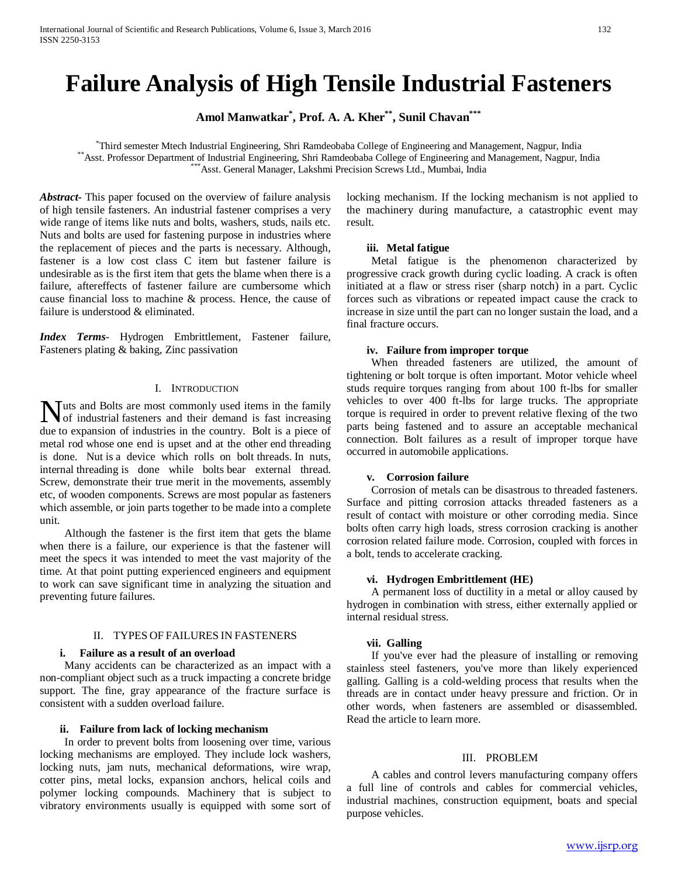# **Failure Analysis of High Tensile Industrial Fasteners**

**Amol Manwatkar\* , Prof. A. A. Kher\*\*, Sunil Chavan\*\*\***

\*Third semester Mtech Industrial Engineering, Shri Ramdeobaba College of Engineering and Management, Nagpur, India \*\* Asst. Professor Department of Industrial Engineering, Shri Ramdeobaba College of Engineering and Management, Nagpur, India<br>\*\*\* Asst. General Manager, Lakshmi Precision Screws Ltd., Mumbai, India

*Abstract***-** This paper focused on the overview of failure analysis of high tensile fasteners. An industrial fastener comprises a very wide range of items like nuts and bolts, washers, studs, nails etc. Nuts and bolts are used for fastening purpose in industries where the replacement of pieces and the parts is necessary. Although, fastener is a low cost class C item but fastener failure is undesirable as is the first item that gets the blame when there is a failure, aftereffects of fastener failure are cumbersome which cause financial loss to machine & process. Hence, the cause of failure is understood & eliminated.

*Index Terms*- Hydrogen Embrittlement, Fastener failure, Fasteners plating & baking, Zinc passivation

### I. INTRODUCTION

uts and Bolts are most commonly used items in the family **NUT URE AND THE INTERNATION** USE IN THE SERVICE IS A GENERAL TO A GENERAL THE SERVICE IS A GENERAL TO A GENERAL THE SERVICE IS A GENERAL TO A GENERAL TO A GENERAL TO A GENERAL TO A GENERAL TO A GENERAL TO A GENERAL TO A G due to expansion of industries in the country. Bolt is a piece of metal rod whose one end is upset and at the other end threading is done. Nut is a device which rolls on bolt threads. In nuts, internal threading is done while bolts bear external thread. Screw, demonstrate their true merit in the movements, assembly etc, of wooden components. Screws are most popular as fasteners which assemble, or join parts together to be made into a complete unit.

 Although the fastener is the first item that gets the blame when there is a failure, our experience is that the fastener will meet the specs it was intended to meet the vast majority of the time. At that point putting experienced engineers and equipment to work can save significant time in analyzing the situation and preventing future failures.

# II. TYPES OF FAILURES IN FASTENERS

### **i. Failure as a result of an overload**

 Many accidents can be characterized as an impact with a non-compliant object such as a truck impacting a concrete bridge support. The fine, gray appearance of the fracture surface is consistent with a sudden overload failure.

### **ii. Failure from lack of locking mechanism**

 In order to prevent bolts from loosening over time, various locking mechanisms are employed. They include lock washers, locking nuts, jam nuts, mechanical deformations, wire wrap, cotter pins, metal locks, expansion anchors, helical coils and polymer locking compounds. Machinery that is subject to vibratory environments usually is equipped with some sort of locking mechanism. If the locking mechanism is not applied to the machinery during manufacture, a catastrophic event may result.

### **iii. Metal fatigue**

 Metal fatigue is the phenomenon characterized by progressive crack growth during cyclic loading. A crack is often initiated at a flaw or stress riser (sharp notch) in a part. Cyclic forces such as vibrations or repeated impact cause the crack to increase in size until the part can no longer sustain the load, and a final fracture occurs.

### **iv. Failure from improper torque**

 When threaded fasteners are utilized, the amount of tightening or bolt torque is often important. Motor vehicle wheel studs require torques ranging from about 100 ft-lbs for smaller vehicles to over 400 ft-lbs for large trucks. The appropriate torque is required in order to prevent relative flexing of the two parts being fastened and to assure an acceptable mechanical connection. Bolt failures as a result of improper torque have occurred in automobile applications.

# **v. Corrosion failure**

 Corrosion of metals can be disastrous to threaded fasteners. Surface and pitting corrosion attacks threaded fasteners as a result of contact with moisture or other corroding media. Since bolts often carry high loads, stress corrosion cracking is another corrosion related failure mode. Corrosion, coupled with forces in a bolt, tends to accelerate cracking.

### **vi. Hydrogen Embrittlement (HE)**

 A permanent loss of ductility in a metal or alloy caused by hydrogen in combination with stress, either externally applied or internal residual stress.

### **vii. Galling**

 If you've ever had the pleasure of installing or removing stainless steel fasteners, you've more than likely experienced galling. Galling is a cold-welding process that results when the threads are in contact under heavy pressure and friction. Or in other words, when fasteners are assembled or disassembled. Read the article to learn more.

### III. PROBLEM

 A cables and control levers manufacturing company offers a full line of controls and cables for commercial vehicles, industrial machines, construction equipment, boats and special purpose vehicles.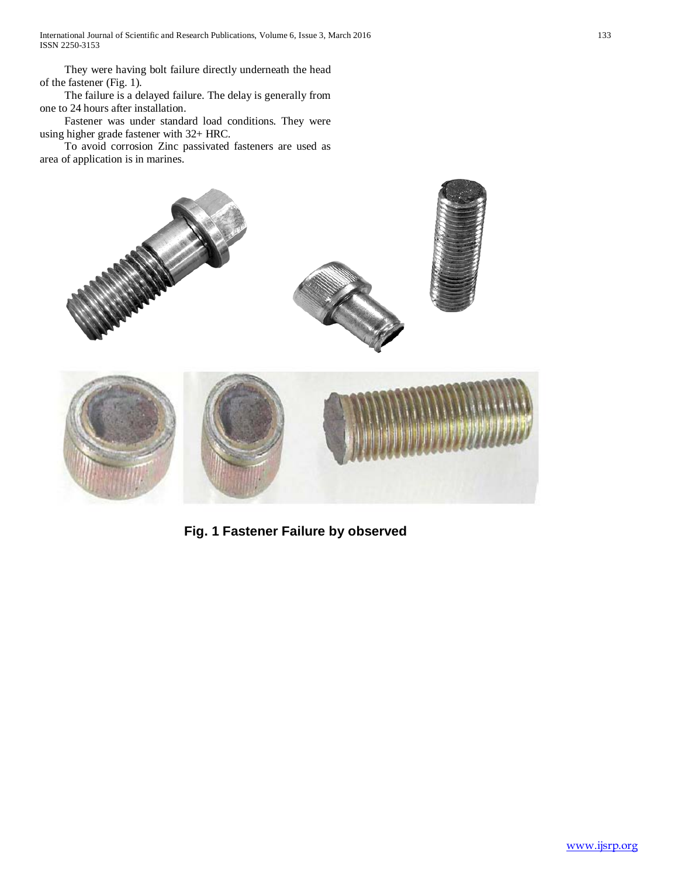They were having bolt failure directly underneath the head of the fastener (Fig. 1).

 The failure is a delayed failure. The delay is generally from one to 24 hours after installation.

 Fastener was under standard load conditions. They were using higher grade fastener with 32+ HRC.

 To avoid corrosion Zinc passivated fasteners are used as area of application is in marines.



**Fig. 1 Fastener Failure by observed**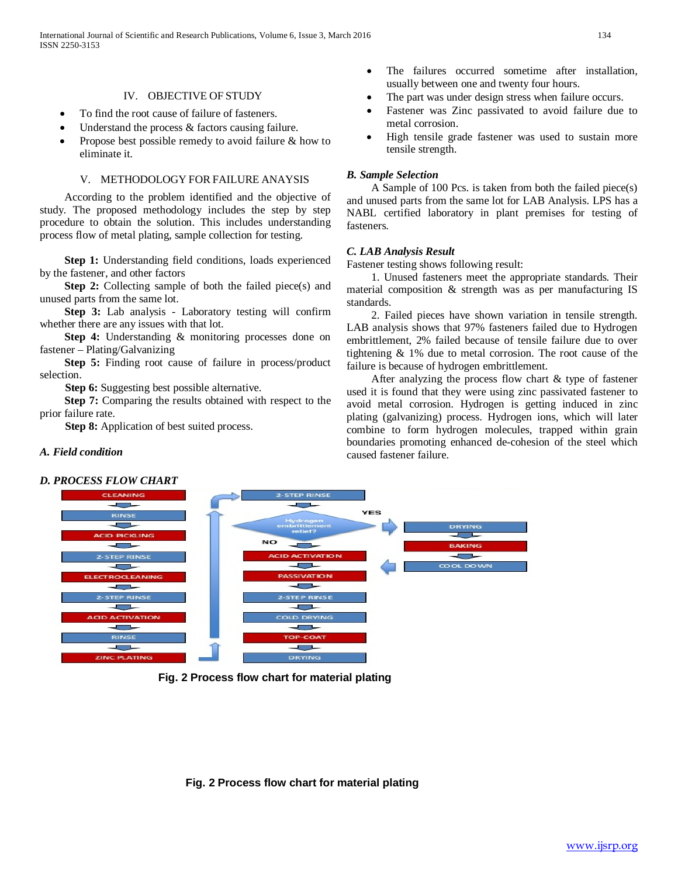# IV. OBJECTIVE OF STUDY

- To find the root cause of failure of fasteners.
- Understand the process  $&$  factors causing failure.
- Propose best possible remedy to avoid failure & how to eliminate it.

### V. METHODOLOGY FOR FAILURE ANAYSIS

 According to the problem identified and the objective of study. The proposed methodology includes the step by step procedure to obtain the solution. This includes understanding process flow of metal plating, sample collection for testing.

 **Step 1:** Understanding field conditions, loads experienced by the fastener, and other factors

**Step 2:** Collecting sample of both the failed piece(s) and unused parts from the same lot.

 **Step 3:** Lab analysis - Laboratory testing will confirm whether there are any issues with that lot.

 **Step 4:** Understanding & monitoring processes done on fastener – Plating/Galvanizing

**Step 5:** Finding root cause of failure in process/product selection.

**Step 6:** Suggesting best possible alternative.

 **Step 7:** Comparing the results obtained with respect to the prior failure rate.

**Step 8:** Application of best suited process.

# The failures occurred sometime after installation, usually between one and twenty four hours.

- The part was under design stress when failure occurs.
- Fastener was Zinc passivated to avoid failure due to metal corrosion.
- High tensile grade fastener was used to sustain more tensile strength.

### *B. Sample Selection*

 A Sample of 100 Pcs. is taken from both the failed piece(s) and unused parts from the same lot for LAB Analysis. LPS has a NABL certified laboratory in plant premises for testing of fasteners.

### *C. LAB Analysis Result*

Fastener testing shows following result:

 1. Unused fasteners meet the appropriate standards. Their material composition & strength was as per manufacturing IS standards.

 2. Failed pieces have shown variation in tensile strength. LAB analysis shows that 97% fasteners failed due to Hydrogen embrittlement, 2% failed because of tensile failure due to over tightening & 1% due to metal corrosion. The root cause of the failure is because of hydrogen embrittlement.

 After analyzing the process flow chart & type of fastener used it is found that they were using zinc passivated fastener to avoid metal corrosion. Hydrogen is getting induced in zinc plating (galvanizing) process. Hydrogen ions, which will later combine to form hydrogen molecules, trapped within grain boundaries promoting enhanced de-cohesion of the steel which caused fastener failure.

# *A. Field condition*

# *D. PROCESS FLOW CHART*



**Fig. 2 Process flow chart for material plating**

### **Fig. 2 Process flow chart for material plating**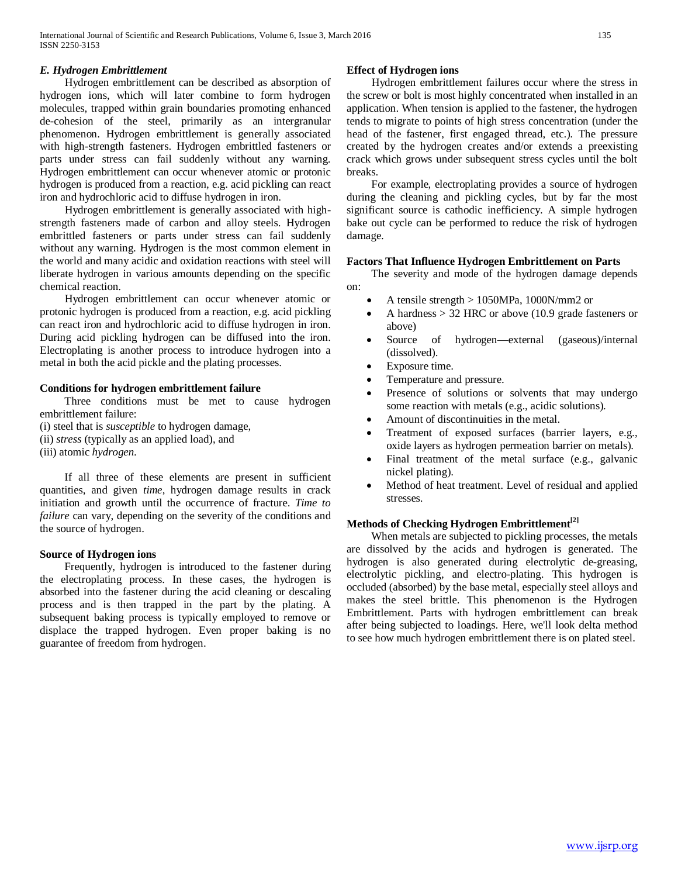# *E. Hydrogen Embrittlement*

 Hydrogen embrittlement can be described as absorption of hydrogen ions, which will later combine to form hydrogen molecules, trapped within grain boundaries promoting enhanced de-cohesion of the steel, primarily as an intergranular phenomenon. Hydrogen embrittlement is generally associated with high-strength fasteners. Hydrogen embrittled fasteners or parts under stress can fail suddenly without any warning. Hydrogen embrittlement can occur whenever atomic or protonic hydrogen is produced from a reaction, e.g. acid pickling can react iron and hydrochloric acid to diffuse hydrogen in iron.

 Hydrogen embrittlement is generally associated with highstrength fasteners made of carbon and alloy steels. Hydrogen embrittled fasteners or parts under stress can fail suddenly without any warning. Hydrogen is the most common element in the world and many acidic and oxidation reactions with steel will liberate hydrogen in various amounts depending on the specific chemical reaction.

 Hydrogen embrittlement can occur whenever atomic or protonic hydrogen is produced from a reaction, e.g. acid pickling can react iron and hydrochloric acid to diffuse hydrogen in iron. During acid pickling hydrogen can be diffused into the iron. Electroplating is another process to introduce hydrogen into a metal in both the acid pickle and the plating processes.

### **Conditions for hydrogen embrittlement failure**

 Three conditions must be met to cause hydrogen embrittlement failure:

(i) steel that is *susceptible* to hydrogen damage, (ii) *stress* (typically as an applied load), and

(iii) atomic *hydrogen*.

 If all three of these elements are present in sufficient quantities, and given *time*, hydrogen damage results in crack initiation and growth until the occurrence of fracture. *Time to failure* can vary, depending on the severity of the conditions and the source of hydrogen.

# **Source of Hydrogen ions**

 Frequently, hydrogen is introduced to the fastener during the electroplating process. In these cases, the hydrogen is absorbed into the fastener during the acid cleaning or descaling process and is then trapped in the part by the plating. A subsequent baking process is typically employed to remove or displace the trapped hydrogen. Even proper baking is no guarantee of freedom from hydrogen.

# **Effect of Hydrogen ions**

 Hydrogen embrittlement failures occur where the stress in the screw or bolt is most highly concentrated when installed in an application. When tension is applied to the fastener, the hydrogen tends to migrate to points of high stress concentration (under the head of the fastener, first engaged thread, etc.). The pressure created by the hydrogen creates and/or extends a preexisting crack which grows under subsequent stress cycles until the bolt breaks.

 For example, electroplating provides a source of hydrogen during the cleaning and pickling cycles, but by far the most significant source is cathodic inefficiency. A simple hydrogen bake out cycle can be performed to reduce the risk of hydrogen damage.

### **Factors That Influence Hydrogen Embrittlement on Parts**

 The severity and mode of the hydrogen damage depends on:

- A tensile strength > 1050MPa, 1000N/mm2 or
- A hardness  $> 32$  HRC or above (10.9 grade fasteners or above)
- Source of hydrogen—external (gaseous)/internal (dissolved).
- Exposure time.
- Temperature and pressure.
- Presence of solutions or solvents that may undergo some reaction with metals (e.g., acidic solutions).
- Amount of discontinuities in the metal.
- Treatment of exposed surfaces (barrier layers, e.g., oxide layers as hydrogen permeation barrier on metals).
- Final treatment of the metal surface (e.g., galvanic nickel plating).
- Method of heat treatment. Level of residual and applied stresses.

# **Methods of Checking Hydrogen Embrittlement[2]**

 When metals are subjected to pickling processes, the metals are dissolved by the acids and hydrogen is generated. The hydrogen is also generated during electrolytic de-greasing, electrolytic pickling, and electro-plating. This hydrogen is occluded (absorbed) by the base metal, especially steel alloys and makes the steel brittle. This phenomenon is the Hydrogen Embrittlement. Parts with hydrogen embrittlement can break after being subjected to loadings. Here, we'll look delta method to see how much hydrogen embrittlement there is on plated steel.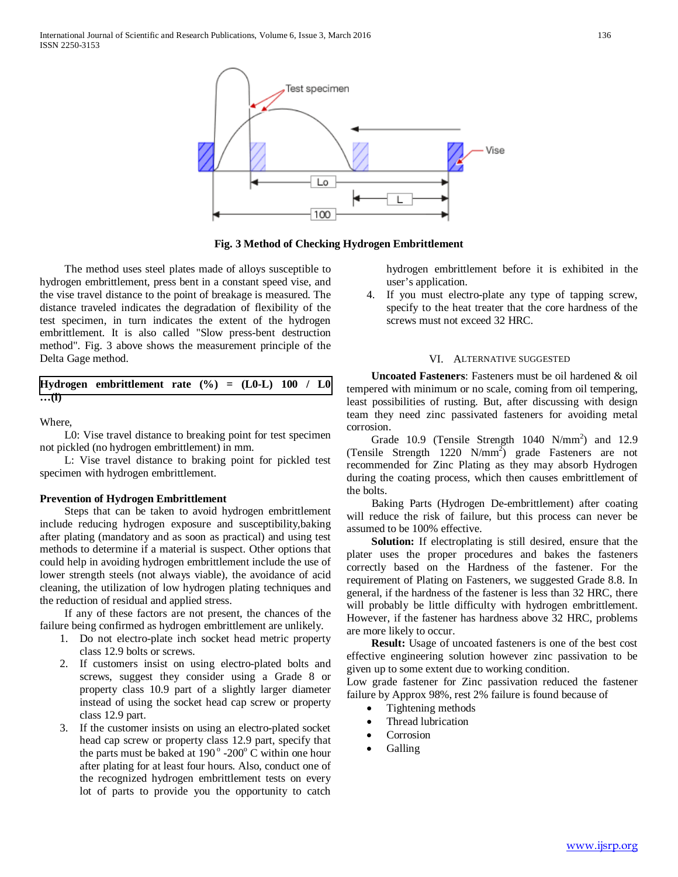

**Fig. 3 Method of Checking Hydrogen Embrittlement**

 The method uses steel plates made of alloys susceptible to hydrogen embrittlement, press bent in a constant speed vise, and the vise travel distance to the point of breakage is measured. The distance traveled indicates the degradation of flexibility of the test specimen, in turn indicates the extent of the hydrogen embrittlement. It is also called "Slow press-bent destruction method". Fig. 3 above shows the measurement principle of the Delta Gage method.

Hydrogen embrittlement rate 
$$
(\%) = (L0-L) 100 / L0
$$
  
... $(t)$ 

Where,

 L0: Vise travel distance to breaking point for test specimen not pickled (no hydrogen embrittlement) in mm.

 L: Vise travel distance to braking point for pickled test specimen with hydrogen embrittlement.

### **Prevention of Hydrogen Embrittlement**

 Steps that can be taken to avoid hydrogen embrittlement include reducing hydrogen exposure and susceptibility,baking after plating (mandatory and as soon as practical) and using test methods to determine if a material is suspect. Other options that could help in avoiding hydrogen embrittlement include the use of lower strength steels (not always viable), the avoidance of acid cleaning, the utilization of low hydrogen plating techniques and the reduction of residual and applied stress.

 If any of these factors are not present, the chances of the failure being confirmed as hydrogen embrittlement are unlikely.

- 1. Do not electro-plate inch socket head metric property class 12.9 bolts or screws.
- 2. If customers insist on using electro-plated bolts and screws, suggest they consider using a Grade 8 or property class 10.9 part of a slightly larger diameter instead of using the socket head cap screw or property class 12.9 part.
- 3. If the customer insists on using an electro-plated socket head cap screw or property class 12.9 part, specify that the parts must be baked at  $190^\circ$  -200° C within one hour after plating for at least four hours. Also, conduct one of the recognized hydrogen embrittlement tests on every lot of parts to provide you the opportunity to catch

hydrogen embrittlement before it is exhibited in the user's application.

4. If you must electro-plate any type of tapping screw, specify to the heat treater that the core hardness of the screws must not exceed 32 HRC.

### VI. ALTERNATIVE SUGGESTED

 **Uncoated Fasteners**: Fasteners must be oil hardened & oil tempered with minimum or no scale, coming from oil tempering, least possibilities of rusting. But, after discussing with design team they need zinc passivated fasteners for avoiding metal corrosion.

Grade 10.9 (Tensile Strength  $1040 \text{ N/mm}^2$ ) and  $12.9$ (Tensile Strength  $1220 \text{ N/mm}^2$ ) grade Fasteners are not recommended for Zinc Plating as they may absorb Hydrogen during the coating process, which then causes embrittlement of the bolts.

 Baking Parts (Hydrogen De-embrittlement) after coating will reduce the risk of failure, but this process can never be assumed to be 100% effective.

 **Solution:** If electroplating is still desired, ensure that the plater uses the proper procedures and bakes the fasteners correctly based on the Hardness of the fastener. For the requirement of Plating on Fasteners, we suggested Grade 8.8. In general, if the hardness of the fastener is less than 32 HRC, there will probably be little difficulty with hydrogen embrittlement. However, if the fastener has hardness above 32 HRC, problems are more likely to occur.

 **Result:** Usage of uncoated fasteners is one of the best cost effective engineering solution however zinc passivation to be given up to some extent due to working condition.

Low grade fastener for Zinc passivation reduced the fastener failure by Approx 98%, rest 2% failure is found because of

- Tightening methods
- Thread lubrication
- **Corrosion**
- Galling